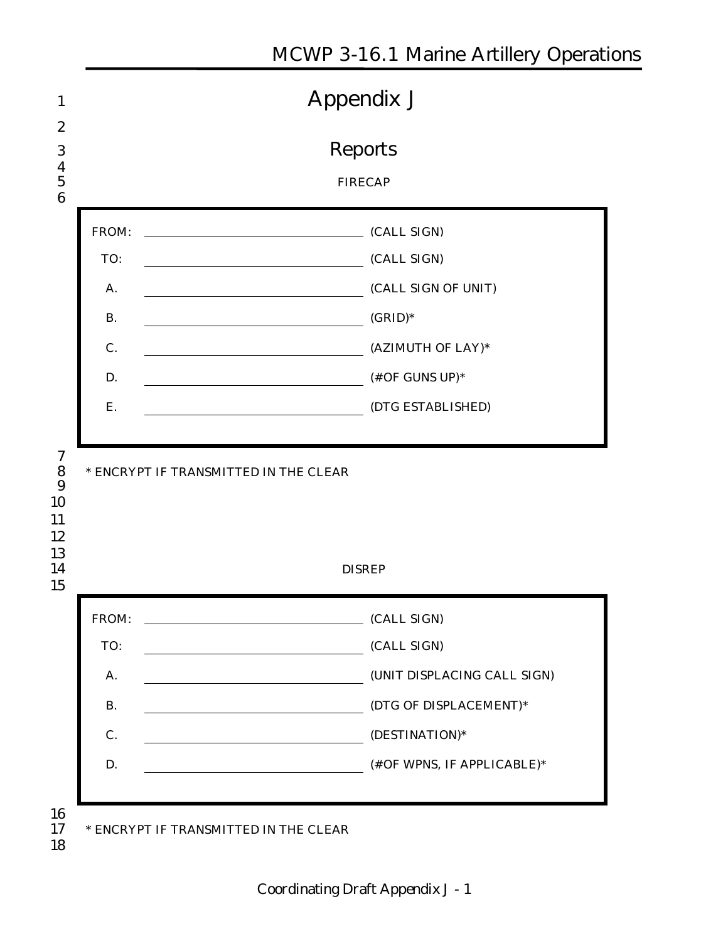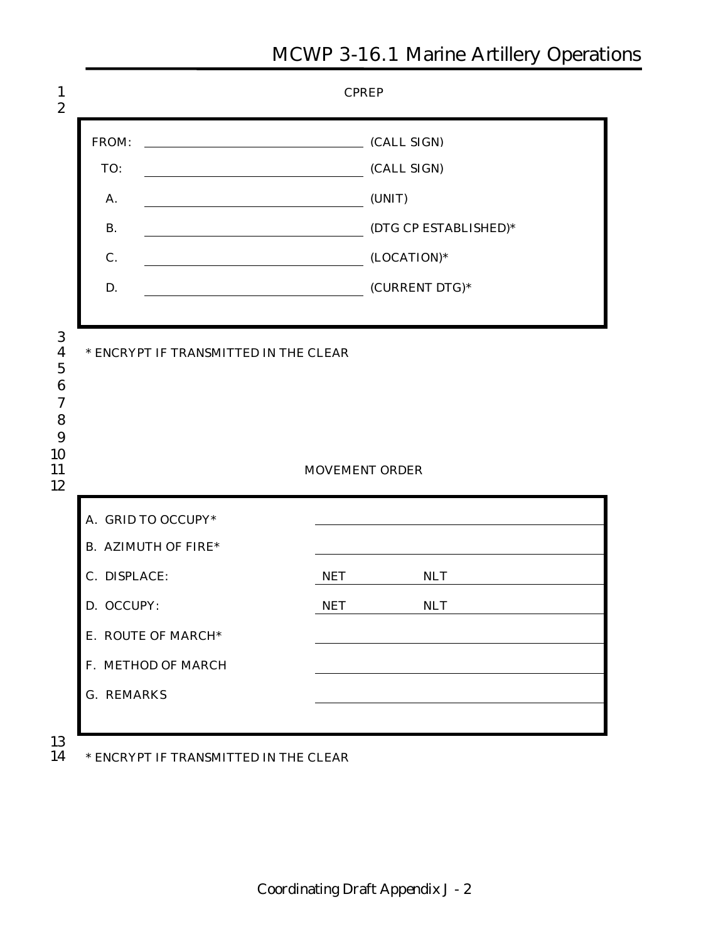

#### 13

14 **\* ENCRYPT IF TRANSMITTED IN THE CLEAR**

#### **MCWP 3-16.1 Marine Artillery Operations**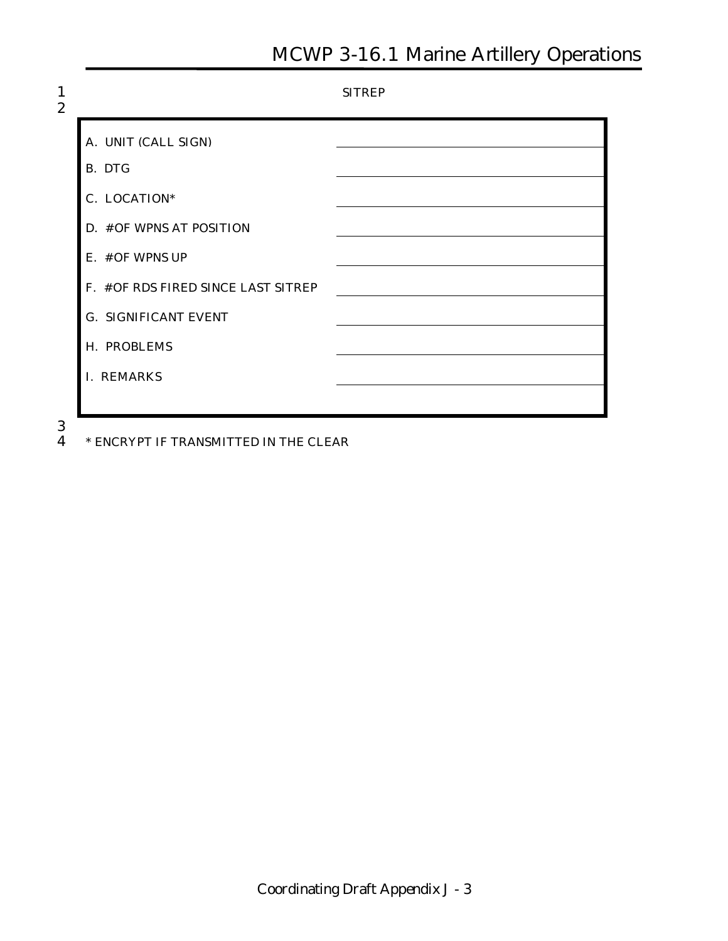$\frac{3}{4}$ 

4 **\* ENCRYPT IF TRANSMITTED IN THE CLEAR**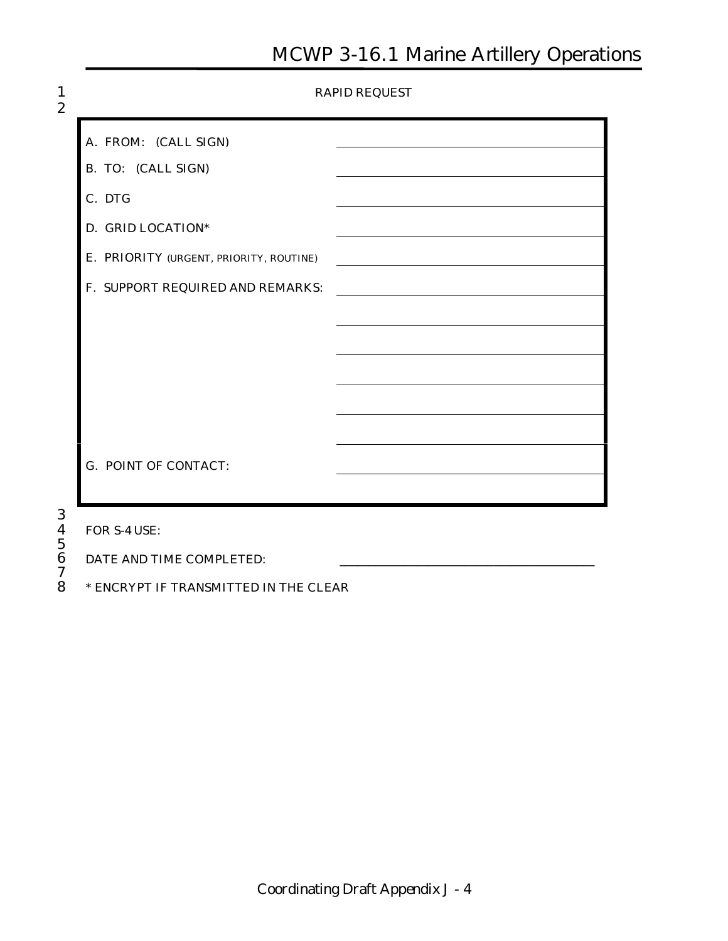| $\mathbf{1}$<br>$\boldsymbol{2}$   |                                         | <b>RAPID REQUEST</b> |
|------------------------------------|-----------------------------------------|----------------------|
|                                    | A. FROM: (CALL SIGN)                    |                      |
|                                    | <b>B. TO:</b> (CALL SIGN)               |                      |
|                                    | C. DTG                                  |                      |
|                                    | D. GRID LOCATION*                       |                      |
|                                    | E. PRIORITY (URGENT, PRIORITY, ROUTINE) |                      |
|                                    | F. SUPPORT REQUIRED AND REMARKS:        |                      |
|                                    |                                         |                      |
|                                    |                                         |                      |
|                                    |                                         |                      |
|                                    |                                         |                      |
|                                    |                                         |                      |
|                                    | <b>G. POINT OF CONTACT:</b>             |                      |
|                                    |                                         |                      |
| 3<br>4                             | FOR S-4 USE:                            |                      |
| $\overline{5}$<br>$\boldsymbol{6}$ | DATE AND TIME COMPLETED:                |                      |
| 7<br>8                             | * ENCRYPT IF TRANSMITTED IN THE CLEAR   |                      |

8 **\* ENCRYPT IF TRANSMITTED IN THE CLEAR**

**Coordinating Draft Appendix J - 4**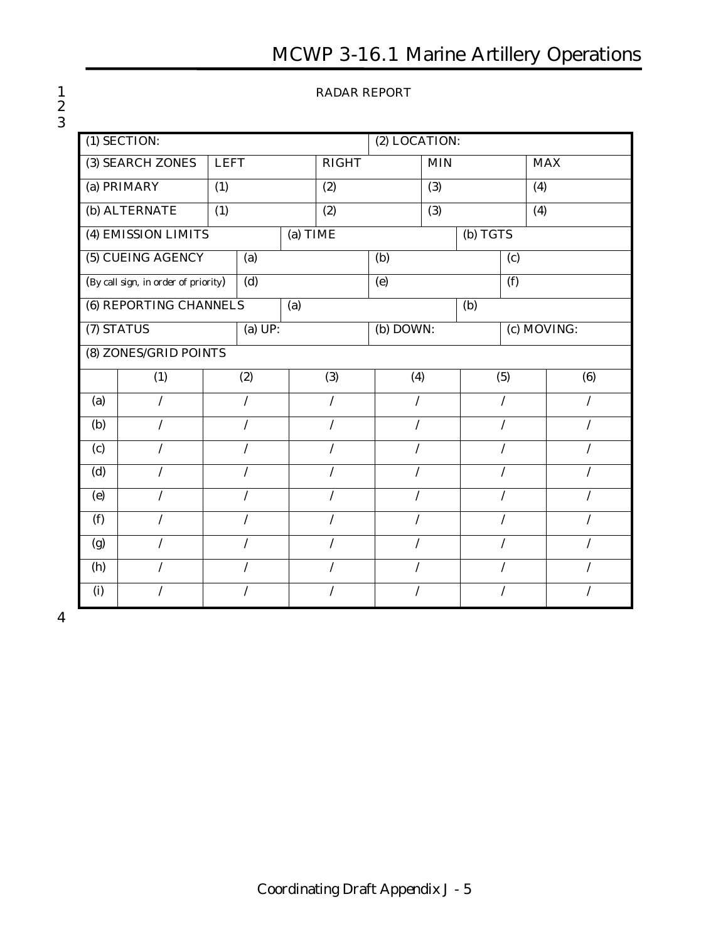#### 1 **RADAR REPORT**

|                                                        | (1) SECTION:          |             |     |              |     | (2) LOCATION: |             |          |            |  |
|--------------------------------------------------------|-----------------------|-------------|-----|--------------|-----|---------------|-------------|----------|------------|--|
|                                                        | (3) SEARCH ZONES      | <b>LEFT</b> |     | <b>RIGHT</b> |     |               | <b>MIN</b>  |          | <b>MAX</b> |  |
| (a) PRIMARY<br>(1)                                     |                       |             |     |              | (2) |               | (3)         |          | (4)        |  |
| (b) ALTERNATE<br>(1)                                   |                       |             |     | (2)          |     | (3)           |             |          | (4)        |  |
| (4) EMISSION LIMITS                                    |                       |             |     | (a) TIME     |     |               |             | (b) TGTS |            |  |
| (5) CUEING AGENCY<br>(a)                               |                       |             |     | (b)          |     |               | (c)         |          |            |  |
| $\overline{d}$<br>(By call sign, in order of priority) |                       |             |     | (e)          |     |               | (f)         |          |            |  |
| <b>(6) REPORTING CHANNELS</b>                          |                       |             | (a) |              |     |               | (b)         |          |            |  |
| (7) STATUS<br>(a) UP:                                  |                       |             |     | (b) DOWN:    |     |               | (c) MOVING: |          |            |  |
|                                                        | (8) ZONES/GRID POINTS |             |     |              |     |               |             |          |            |  |
|                                                        | (1)                   | (2)         |     | (3)          |     | (4)           |             | (5)      | (6)        |  |
| (a)                                                    |                       | $\prime$    |     | $\prime$     |     | $\prime$      |             | $\prime$ |            |  |
| <b>(b)</b>                                             | $\prime$              | $\prime$    |     | $\prime$     |     | $\prime$      | $\prime$    |          | T          |  |
| (c)                                                    |                       |             |     |              |     |               |             |          |            |  |
| (d)                                                    | $\prime$              |             |     | $\prime$     |     | $\prime$      |             | $\prime$ |            |  |
| (e)                                                    | $\prime$              | $\prime$    |     | $\prime$     |     | $\prime$      |             | $\prime$ | $\prime$   |  |
| (f)                                                    | $\prime$              | $\prime$    |     | $\prime$     |     | $\prime$      |             | $\prime$ | $\prime$   |  |
| (g)                                                    |                       |             |     |              |     |               |             |          |            |  |
| (h)                                                    |                       |             |     |              |     |               |             |          |            |  |
| (i)                                                    |                       |             |     |              |     |               |             |          |            |  |

4

2 3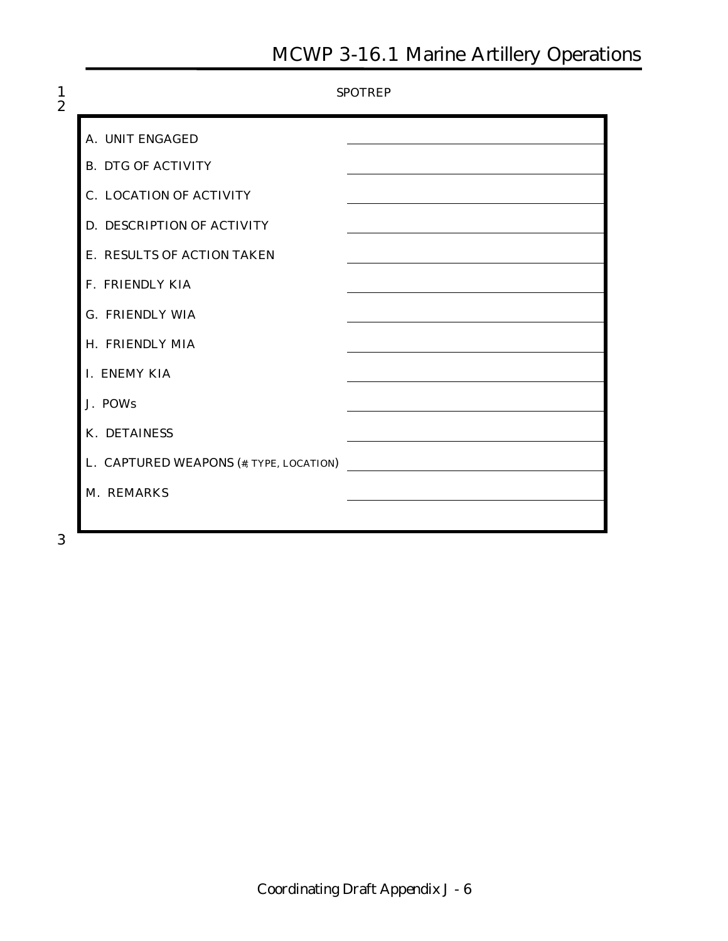|                                         | <b>SPOTREP</b> |
|-----------------------------------------|----------------|
| A. UNIT ENGAGED                         |                |
| <b>B. DTG OF ACTIVITY</b>               |                |
| <b>C. LOCATION OF ACTIVITY</b>          |                |
| <b>D. DESCRIPTION OF ACTIVITY</b>       |                |
| E. RESULTS OF ACTION TAKEN              |                |
| <b>F. FRIENDLY KIA</b>                  |                |
| <b>G. FRIENDLY WIA</b>                  |                |
| H. FRIENDLY MIA                         |                |
| I. ENEMY KIA                            |                |
| J. POWs                                 |                |
| <b>K. DETAINESS</b>                     |                |
| L. CAPTURED WEAPONS (#, TYPE, LOCATION) |                |
| M. REMARKS                              |                |
|                                         |                |

3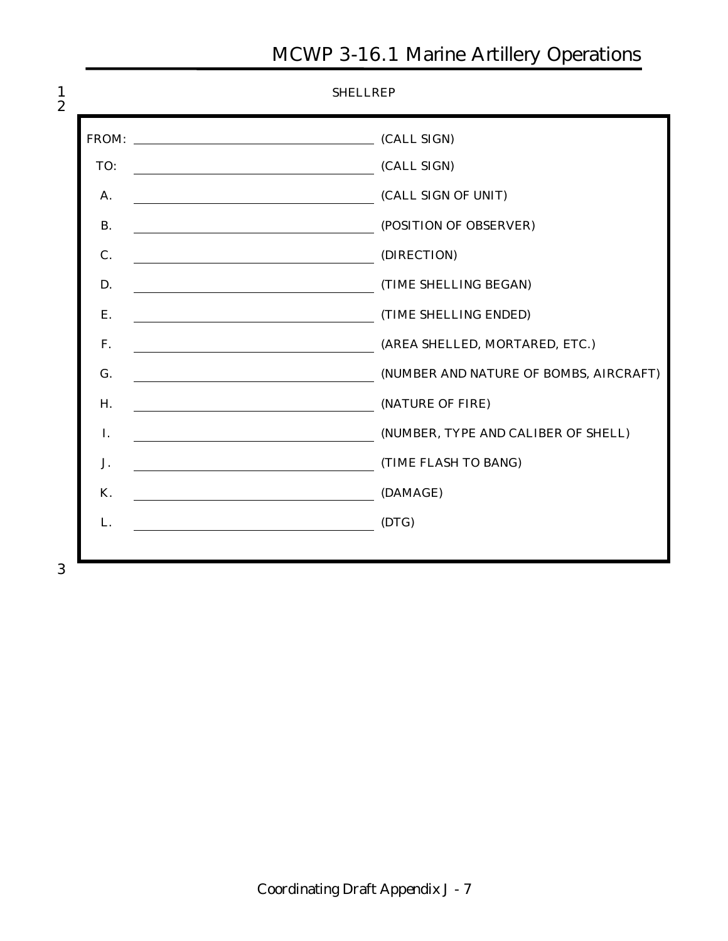| FROM:     | CALL SIGN)                                                                    |
|-----------|-------------------------------------------------------------------------------|
| TO:       | (CALL SIGN)                                                                   |
| A.        | (CALL SIGN OF UNIT)                                                           |
| <b>B.</b> | (POSITION OF OBSERVER)                                                        |
| $C$ .     | (DIRECTION)                                                                   |
| D.        | (TIME SHELLING BEGAN)                                                         |
| Е.        | (TIME SHELLING ENDED)                                                         |
| F.        | (AREA SHELLED, MORTARED, ETC.)                                                |
| G.        | (NUMBER AND NATURE OF BOMBS, AIRCRAFT)                                        |
| Н.        | (NATURE OF FIRE)<br><u> 1980 - Johann Barbara, martin d</u>                   |
| I.        | (NUMBER, TYPE AND CALIBER OF SHELL)                                           |
| J.        | (TIME FLASH TO BANG)                                                          |
| <b>K.</b> | (DAMAGE)                                                                      |
| L.        | (DTG)<br><u> 1989 - Jan Barbara Barat, politik eta politikaria (h. 1989).</u> |

3

 $\frac{1}{2}$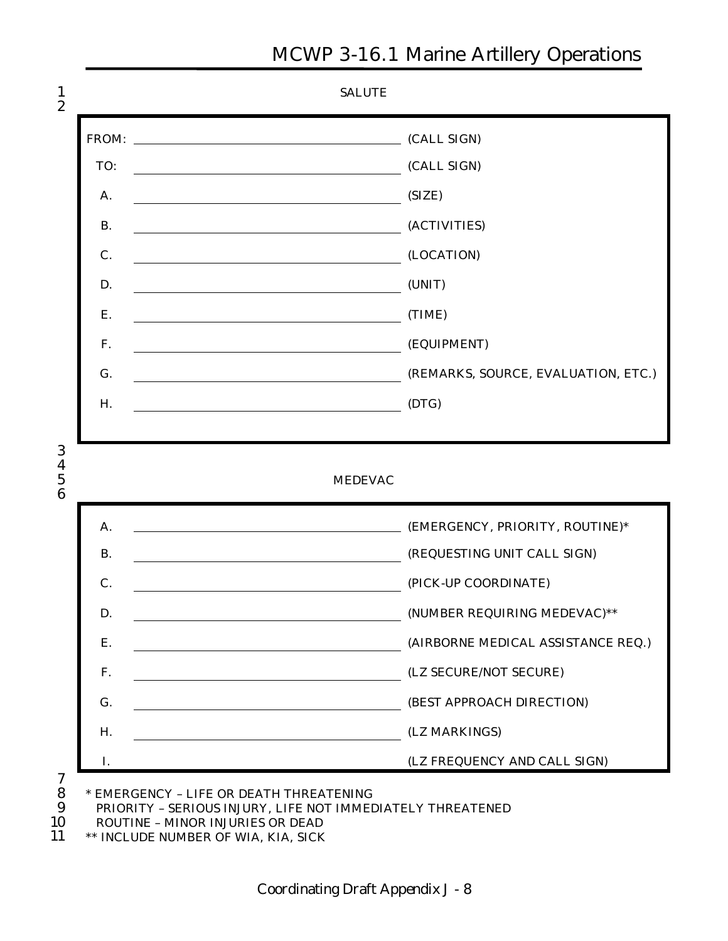

11 **\*\* INCLUDE NUMBER OF WIA, KIA, SICK**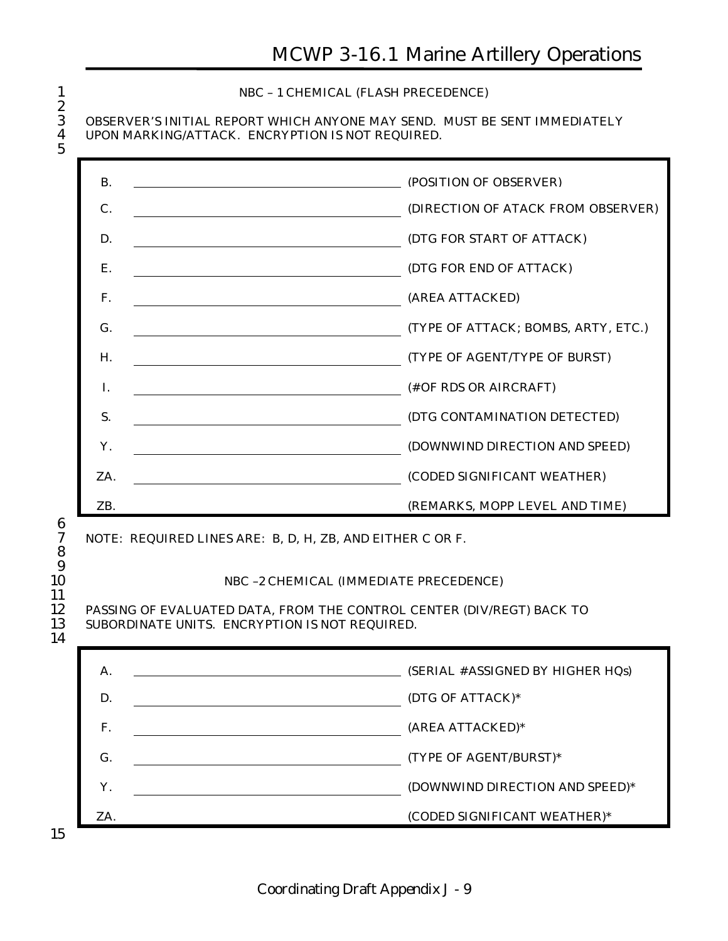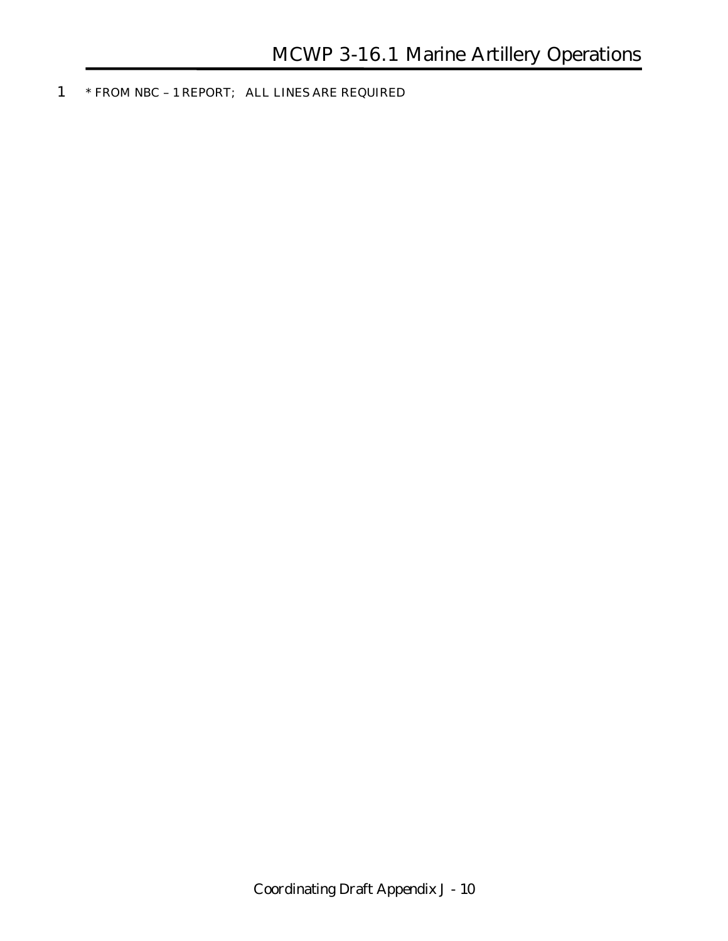1 **\* FROM NBC – 1 REPORT; ALL LINES ARE REQUIRED**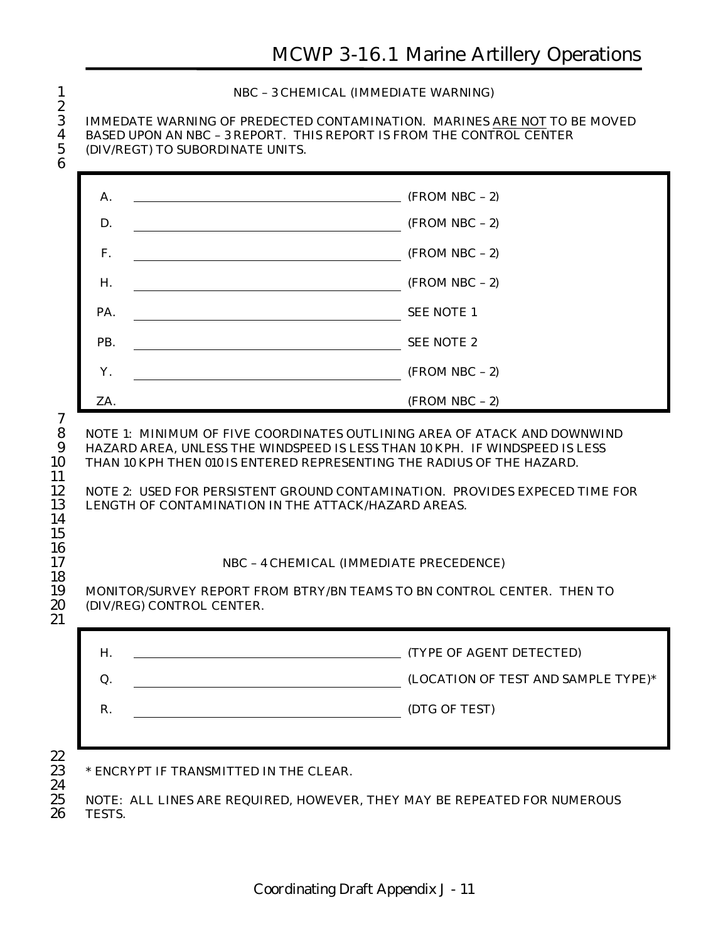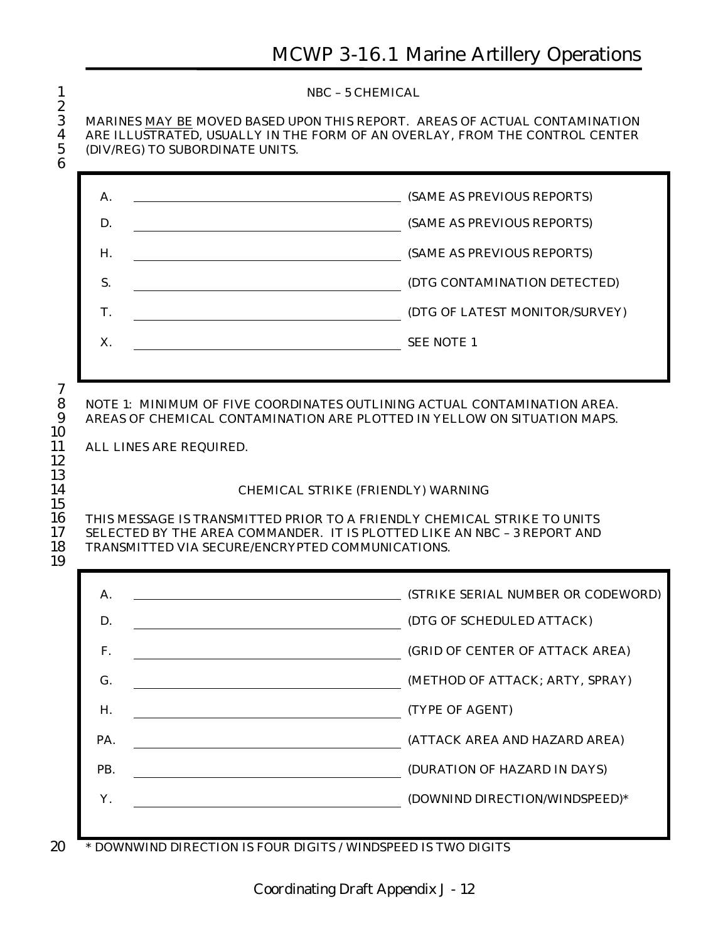| $\overline{c}$<br>3<br>4<br>5<br>6     | NBC - 5 CHEMICAL<br>MARINES MAY BE MOVED BASED UPON THIS REPORT. AREAS OF ACTUAL CONTAMINATION<br>ARE ILLUSTRATED, USUALLY IN THE FORM OF AN OVERLAY, FROM THE CONTROL CENTER<br>(DIV/REG) TO SUBORDINATE UNITS.                                      |                                                                                |  |  |  |  |
|----------------------------------------|-------------------------------------------------------------------------------------------------------------------------------------------------------------------------------------------------------------------------------------------------------|--------------------------------------------------------------------------------|--|--|--|--|
|                                        | A.                                                                                                                                                                                                                                                    | (SAME AS PREVIOUS REPORTS)                                                     |  |  |  |  |
|                                        | D.                                                                                                                                                                                                                                                    | (SAME AS PREVIOUS REPORTS)                                                     |  |  |  |  |
|                                        | Н.                                                                                                                                                                                                                                                    | (SAME AS PREVIOUS REPORTS)                                                     |  |  |  |  |
|                                        | S.                                                                                                                                                                                                                                                    | (DTG CONTAMINATION DETECTED)                                                   |  |  |  |  |
|                                        | Т.                                                                                                                                                                                                                                                    | (DTG OF LATEST MONITOR/SURVEY)                                                 |  |  |  |  |
|                                        | X.                                                                                                                                                                                                                                                    | <b>SEE NOTE 1</b>                                                              |  |  |  |  |
| 13<br>14<br>15<br>16<br>17<br>18<br>19 | <b>CHEMICAL STRIKE (FRIENDLY) WARNING</b><br>THIS MESSAGE IS TRANSMITTED PRIOR TO A FRIENDLY CHEMICAL STRIKE TO UNITS<br>SELECTED BY THE AREA COMMANDER. IT IS PLOTTED LIKE AN NBC - 3 REPORT AND<br>TRANSMITTED VIA SECURE/ENCRYPTED COMMUNICATIONS. |                                                                                |  |  |  |  |
|                                        | А.                                                                                                                                                                                                                                                    | (STRIKE SERIAL NUMBER OR CODEWORD)                                             |  |  |  |  |
|                                        | D.                                                                                                                                                                                                                                                    | (DTG OF SCHEDULED ATTACK)                                                      |  |  |  |  |
|                                        | F.                                                                                                                                                                                                                                                    | (GRID OF CENTER OF ATTACK AREA)                                                |  |  |  |  |
|                                        | G.                                                                                                                                                                                                                                                    | (METHOD OF ATTACK; ARTY, SPRAY)                                                |  |  |  |  |
|                                        | Н.                                                                                                                                                                                                                                                    | (TYPE OF AGENT)                                                                |  |  |  |  |
|                                        | PA.                                                                                                                                                                                                                                                   | (ATTACK AREA AND HAZARD AREA)                                                  |  |  |  |  |
|                                        | PB.                                                                                                                                                                                                                                                   | (DURATION OF HAZARD IN DAYS)<br><u> 1980 - Jan Stein, amerikansk politik (</u> |  |  |  |  |
|                                        | Y.                                                                                                                                                                                                                                                    | (DOWNIND DIRECTION/WINDSPEED)*                                                 |  |  |  |  |
|                                        |                                                                                                                                                                                                                                                       |                                                                                |  |  |  |  |